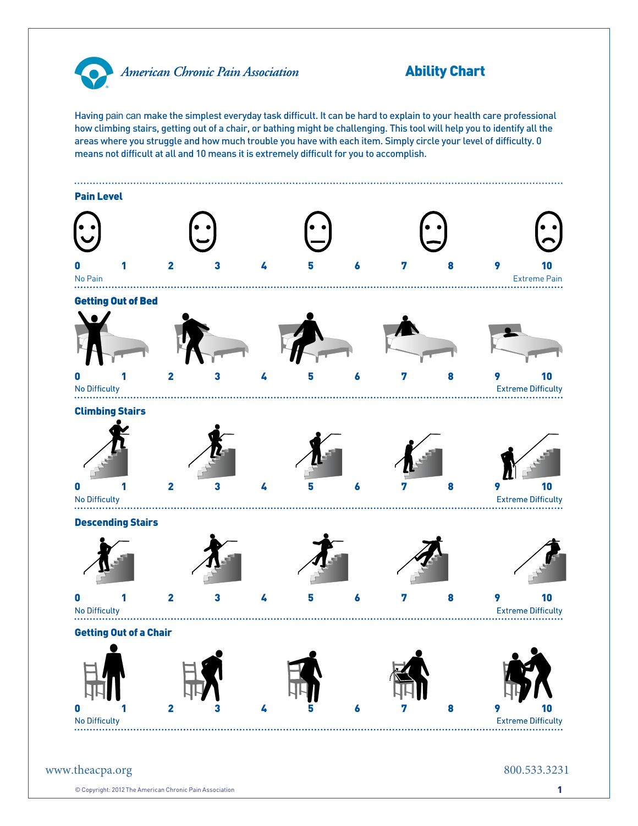

American Chronic Pain Association

## Ability Chart

Having pain can make the simplest everyday task difficult. It can be hard to explain to your health care professional how climbing stairs, getting out of a chair, or bathing might be challenging. This tool will help you to identify all the areas where you struggle and how much trouble you have with each item. Simply circle your level of difficulty. 0 means not difficult at all and 10 means it is extremely difficult for you to accomplish.



 $\circledcirc$  Copyright: 2012 The American Chronic Pain Association 1